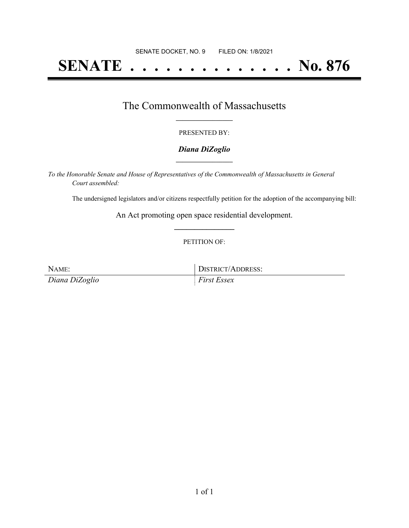# **SENATE . . . . . . . . . . . . . . No. 876**

### The Commonwealth of Massachusetts **\_\_\_\_\_\_\_\_\_\_\_\_\_\_\_\_\_**

#### PRESENTED BY:

#### *Diana DiZoglio* **\_\_\_\_\_\_\_\_\_\_\_\_\_\_\_\_\_**

*To the Honorable Senate and House of Representatives of the Commonwealth of Massachusetts in General Court assembled:*

The undersigned legislators and/or citizens respectfully petition for the adoption of the accompanying bill:

An Act promoting open space residential development. **\_\_\_\_\_\_\_\_\_\_\_\_\_\_\_**

#### PETITION OF:

NAME: DISTRICT/ADDRESS:

*Diana DiZoglio First Essex*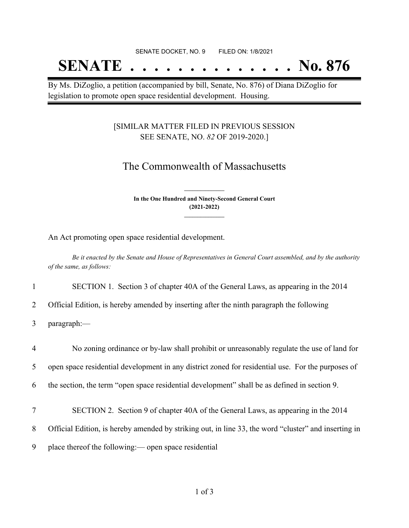## **SENATE . . . . . . . . . . . . . . No. 876**

By Ms. DiZoglio, a petition (accompanied by bill, Senate, No. 876) of Diana DiZoglio for legislation to promote open space residential development. Housing.

#### [SIMILAR MATTER FILED IN PREVIOUS SESSION SEE SENATE, NO. *82* OF 2019-2020.]

## The Commonwealth of Massachusetts

**In the One Hundred and Ninety-Second General Court (2021-2022) \_\_\_\_\_\_\_\_\_\_\_\_\_\_\_**

**\_\_\_\_\_\_\_\_\_\_\_\_\_\_\_**

An Act promoting open space residential development.

Be it enacted by the Senate and House of Representatives in General Court assembled, and by the authority *of the same, as follows:*

1 SECTION 1. Section 3 of chapter 40A of the General Laws, as appearing in the 2014

2 Official Edition, is hereby amended by inserting after the ninth paragraph the following

3 paragraph:—

 No zoning ordinance or by-law shall prohibit or unreasonably regulate the use of land for open space residential development in any district zoned for residential use. For the purposes of the section, the term "open space residential development" shall be as defined in section 9. SECTION 2. Section 9 of chapter 40A of the General Laws, as appearing in the 2014 Official Edition, is hereby amended by striking out, in line 33, the word "cluster" and inserting in place thereof the following:— open space residential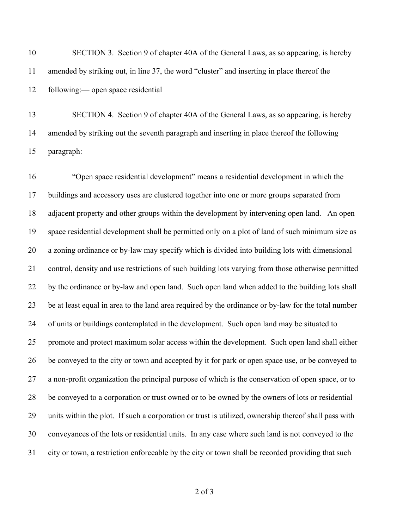SECTION 3. Section 9 of chapter 40A of the General Laws, as so appearing, is hereby amended by striking out, in line 37, the word "cluster" and inserting in place thereof the following:— open space residential

 SECTION 4. Section 9 of chapter 40A of the General Laws, as so appearing, is hereby amended by striking out the seventh paragraph and inserting in place thereof the following paragraph:—

 "Open space residential development" means a residential development in which the buildings and accessory uses are clustered together into one or more groups separated from adjacent property and other groups within the development by intervening open land. An open space residential development shall be permitted only on a plot of land of such minimum size as a zoning ordinance or by-law may specify which is divided into building lots with dimensional control, density and use restrictions of such building lots varying from those otherwise permitted by the ordinance or by-law and open land. Such open land when added to the building lots shall be at least equal in area to the land area required by the ordinance or by-law for the total number of units or buildings contemplated in the development. Such open land may be situated to promote and protect maximum solar access within the development. Such open land shall either be conveyed to the city or town and accepted by it for park or open space use, or be conveyed to a non-profit organization the principal purpose of which is the conservation of open space, or to be conveyed to a corporation or trust owned or to be owned by the owners of lots or residential units within the plot. If such a corporation or trust is utilized, ownership thereof shall pass with conveyances of the lots or residential units. In any case where such land is not conveyed to the city or town, a restriction enforceable by the city or town shall be recorded providing that such